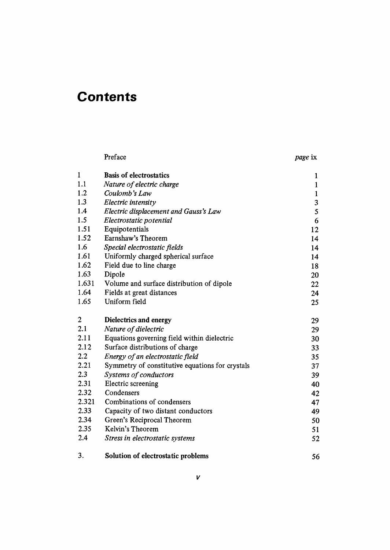## **Contents**

|       | Preface                                         | page ix      |
|-------|-------------------------------------------------|--------------|
| 1     | <b>Basis of electrostatics</b>                  | 1            |
| 1.1   | Nature of electric charge                       | $\mathbf{1}$ |
| 1.2   | Coulomb's Law                                   | $\mathbf{1}$ |
| 1.3   | Electric intensity                              | 3            |
| 1.4   | Electric displacement and Gauss's Law           | 5            |
| 1.5   | Electrostatic potential                         | 6            |
| 1.51  | Equipotentials                                  | 12           |
| 1.52  | Earnshaw's Theorem                              | 14           |
| 1.6   | Special electrostatic fields                    | 14           |
| 1.61  | Uniformly charged spherical surface             | 14           |
| 1.62  | Field due to line charge                        | 18           |
| 1.63  | Dipole                                          | 20           |
| 1.631 | Volume and surface distribution of dipole       | 22           |
| 1.64  | Fields at great distances                       | 24           |
| 1.65  | Uniform field                                   | 25           |
| 2     | Dielectrics and energy                          | 29           |
| 2.1   | Nature of dielectric                            | 29           |
| 2.11  | Equations governing field within dielectric     | 30           |
| 2.12  | Surface distributions of charge                 | 33           |
| 2.2   | Energy of an electrostatic field                | 35           |
| 2.21  | Symmetry of constitutive equations for crystals | 37           |
| 2.3   | Systems of conductors                           | 39           |
| 2.31  | Electric screening                              | 40           |
| 2.32  | Condensers                                      | 42           |
| 2.321 | Combinations of condensers                      | 47           |
| 2.33  | Capacity of two distant conductors              | 49           |
| 2.34  | Green's Reciprocal Theorem                      | 50           |
| 2.35  | Kelvin's Theorem                                | 51           |
| 2.4   | Stress in electrostatic systems                 | 52           |
| 3.    | Solution of electrostatic problems              | 56           |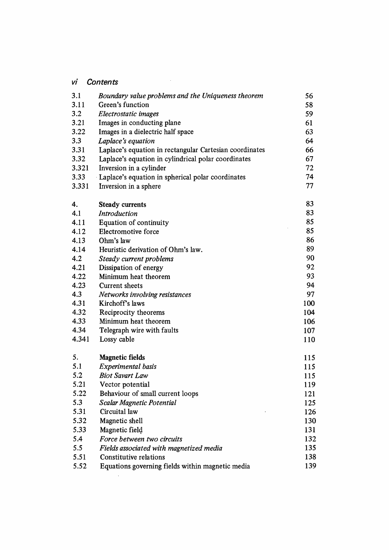## vi Contents

| 3.1   | Boundary value problems and the Uniqueness theorem      | 56  |
|-------|---------------------------------------------------------|-----|
| 3.11  | Green's function                                        | 58  |
| 3.2   | Electrostatic images                                    | 59  |
| 3.21  | Images in conducting plane                              | 61  |
| 3.22  | Images in a dielectric half space                       | 63  |
| 3.3   | Laplace's equation                                      | 64  |
| 3.31  | Laplace's equation in rectangular Cartesian coordinates | 66  |
| 3.32  | Laplace's equation in cylindrical polar coordinates     | 67  |
| 3.321 | Inversion in a cylinder                                 | 72  |
| 3.33  | · Laplace's equation in spherical polar coordinates     | 74  |
| 3.331 | Inversion in a sphere                                   | 77  |
| 4.    | <b>Steady currents</b>                                  | 83  |
| 4.1   | Introduction                                            | 83  |
| 4.11  | Equation of continuity                                  | 85  |
| 4.12  | Electromotive force                                     | 85  |
| 4.13  | Ohm's law                                               | 86  |
| 4.14  | Heuristic derivation of Ohm's law.                      | 89  |
| 4.2   | Steady current problems                                 | 90  |
| 4.21  | Dissipation of energy                                   | 92  |
| 4.22  | Minimum heat theorem                                    | 93  |
| 4.23  | Current sheets                                          | 94  |
| 4.3   | Networks involving resistances                          | 97  |
| 4.31  | Kirchoff's laws                                         | 100 |
| 4.32  | Reciprocity theorems                                    | 104 |
| 4.33  | Minimum heat theorem                                    | 106 |
| 4.34  | Telegraph wire with faults                              | 107 |
| 4.341 | Lossy cable                                             | 110 |
| 5.    | <b>Magnetic fields</b>                                  | 115 |
| 5.1   | Experimental basis                                      | 115 |
| 5.2   | <b>Biot Savart Law</b>                                  | 115 |
| 5.21  | Vector potential                                        | 119 |
| 5.22  | Behaviour of small current loops                        | 121 |
| 5.3   | Scalar Magnetic Potential                               | 125 |
| 5.31  | Circuital law                                           | 126 |
| 5.32  | Magnetic shell                                          | 130 |
| 5.33  | Magnetic field                                          | 131 |
| 5.4   | Force between two circuits                              | 132 |
| 5.5   | Fields associated with magnetized media                 | 135 |
| 5.51  | Constitutive relations                                  | 138 |
| 5.52  | Equations governing fields within magnetic media        | 139 |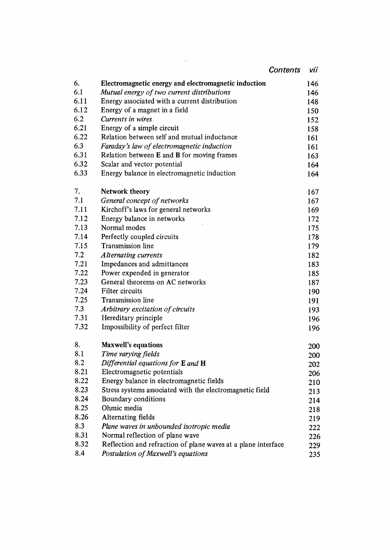| <b>Contents</b><br>vii<br>Electromagnetic energy and electromagnetic induction<br>146<br>Mutual energy of two current distributions<br>146<br>Energy associated with a current distribution<br>148<br>Energy of a magnet in a field<br>150<br>Currents in wires<br>152<br>Energy of a simple circuit<br>158<br>Relation between self and mutual inductance<br>161<br>Faraday's law of electromagnetic induction<br>161<br>Relation between E and B for moving frames<br>163<br>Scalar and vector potential<br>164<br>Energy balance in electromagnetic induction<br>164<br>Network theory<br>167<br>General concept of networks<br>167<br>Kirchoff's laws for general networks<br>169<br>Energy balance in networks<br>172<br>Normal modes<br>175<br>Perfectly coupled circuits<br>178<br>Transmission line<br>179<br><b>Alternating currents</b><br>182<br>Impedances and admittances<br>183<br>Power expended in generator<br>185<br>General theorems on AC networks<br>187<br>Filter circuits<br>190<br>Transmission line<br>191<br>Arbitrary excitation of circuits<br>193<br>Hereditary principle<br>196<br>Impossibility of perfect filter<br>196<br>Maxwell's equations<br>200<br>Time varying fields<br>200<br>Differential equations for E and H<br>202<br>Electromagnetic potentials<br>206<br>Energy balance in electromagnetic fields<br>210<br>8.23<br>Stress systems associated with the electromagnetic field<br>213<br>8.24<br>Boundary conditions<br>214<br>Ohmic media<br>218<br>Alternating fields<br>219<br>Plane waves in unbounded isotropic media<br>222<br>Normal reflection of plane wave<br>226 |      |                                                               |     |
|---------------------------------------------------------------------------------------------------------------------------------------------------------------------------------------------------------------------------------------------------------------------------------------------------------------------------------------------------------------------------------------------------------------------------------------------------------------------------------------------------------------------------------------------------------------------------------------------------------------------------------------------------------------------------------------------------------------------------------------------------------------------------------------------------------------------------------------------------------------------------------------------------------------------------------------------------------------------------------------------------------------------------------------------------------------------------------------------------------------------------------------------------------------------------------------------------------------------------------------------------------------------------------------------------------------------------------------------------------------------------------------------------------------------------------------------------------------------------------------------------------------------------------------------------------------------------------------------------------------------------|------|---------------------------------------------------------------|-----|
|                                                                                                                                                                                                                                                                                                                                                                                                                                                                                                                                                                                                                                                                                                                                                                                                                                                                                                                                                                                                                                                                                                                                                                                                                                                                                                                                                                                                                                                                                                                                                                                                                           |      |                                                               |     |
|                                                                                                                                                                                                                                                                                                                                                                                                                                                                                                                                                                                                                                                                                                                                                                                                                                                                                                                                                                                                                                                                                                                                                                                                                                                                                                                                                                                                                                                                                                                                                                                                                           | 6.   |                                                               |     |
|                                                                                                                                                                                                                                                                                                                                                                                                                                                                                                                                                                                                                                                                                                                                                                                                                                                                                                                                                                                                                                                                                                                                                                                                                                                                                                                                                                                                                                                                                                                                                                                                                           | 6.1  |                                                               |     |
|                                                                                                                                                                                                                                                                                                                                                                                                                                                                                                                                                                                                                                                                                                                                                                                                                                                                                                                                                                                                                                                                                                                                                                                                                                                                                                                                                                                                                                                                                                                                                                                                                           | 6.11 |                                                               |     |
|                                                                                                                                                                                                                                                                                                                                                                                                                                                                                                                                                                                                                                                                                                                                                                                                                                                                                                                                                                                                                                                                                                                                                                                                                                                                                                                                                                                                                                                                                                                                                                                                                           | 6.12 |                                                               |     |
|                                                                                                                                                                                                                                                                                                                                                                                                                                                                                                                                                                                                                                                                                                                                                                                                                                                                                                                                                                                                                                                                                                                                                                                                                                                                                                                                                                                                                                                                                                                                                                                                                           | 6.2  |                                                               |     |
|                                                                                                                                                                                                                                                                                                                                                                                                                                                                                                                                                                                                                                                                                                                                                                                                                                                                                                                                                                                                                                                                                                                                                                                                                                                                                                                                                                                                                                                                                                                                                                                                                           | 6.21 |                                                               |     |
|                                                                                                                                                                                                                                                                                                                                                                                                                                                                                                                                                                                                                                                                                                                                                                                                                                                                                                                                                                                                                                                                                                                                                                                                                                                                                                                                                                                                                                                                                                                                                                                                                           | 6.22 |                                                               |     |
|                                                                                                                                                                                                                                                                                                                                                                                                                                                                                                                                                                                                                                                                                                                                                                                                                                                                                                                                                                                                                                                                                                                                                                                                                                                                                                                                                                                                                                                                                                                                                                                                                           | 6.3  |                                                               |     |
|                                                                                                                                                                                                                                                                                                                                                                                                                                                                                                                                                                                                                                                                                                                                                                                                                                                                                                                                                                                                                                                                                                                                                                                                                                                                                                                                                                                                                                                                                                                                                                                                                           | 6.31 |                                                               |     |
|                                                                                                                                                                                                                                                                                                                                                                                                                                                                                                                                                                                                                                                                                                                                                                                                                                                                                                                                                                                                                                                                                                                                                                                                                                                                                                                                                                                                                                                                                                                                                                                                                           | 6.32 |                                                               |     |
|                                                                                                                                                                                                                                                                                                                                                                                                                                                                                                                                                                                                                                                                                                                                                                                                                                                                                                                                                                                                                                                                                                                                                                                                                                                                                                                                                                                                                                                                                                                                                                                                                           | 6.33 |                                                               |     |
|                                                                                                                                                                                                                                                                                                                                                                                                                                                                                                                                                                                                                                                                                                                                                                                                                                                                                                                                                                                                                                                                                                                                                                                                                                                                                                                                                                                                                                                                                                                                                                                                                           | 7.   |                                                               |     |
|                                                                                                                                                                                                                                                                                                                                                                                                                                                                                                                                                                                                                                                                                                                                                                                                                                                                                                                                                                                                                                                                                                                                                                                                                                                                                                                                                                                                                                                                                                                                                                                                                           | 7.1  |                                                               |     |
|                                                                                                                                                                                                                                                                                                                                                                                                                                                                                                                                                                                                                                                                                                                                                                                                                                                                                                                                                                                                                                                                                                                                                                                                                                                                                                                                                                                                                                                                                                                                                                                                                           | 7.11 |                                                               |     |
|                                                                                                                                                                                                                                                                                                                                                                                                                                                                                                                                                                                                                                                                                                                                                                                                                                                                                                                                                                                                                                                                                                                                                                                                                                                                                                                                                                                                                                                                                                                                                                                                                           | 7.12 |                                                               |     |
|                                                                                                                                                                                                                                                                                                                                                                                                                                                                                                                                                                                                                                                                                                                                                                                                                                                                                                                                                                                                                                                                                                                                                                                                                                                                                                                                                                                                                                                                                                                                                                                                                           | 7.13 |                                                               |     |
|                                                                                                                                                                                                                                                                                                                                                                                                                                                                                                                                                                                                                                                                                                                                                                                                                                                                                                                                                                                                                                                                                                                                                                                                                                                                                                                                                                                                                                                                                                                                                                                                                           | 7.14 |                                                               |     |
|                                                                                                                                                                                                                                                                                                                                                                                                                                                                                                                                                                                                                                                                                                                                                                                                                                                                                                                                                                                                                                                                                                                                                                                                                                                                                                                                                                                                                                                                                                                                                                                                                           | 7.15 |                                                               |     |
|                                                                                                                                                                                                                                                                                                                                                                                                                                                                                                                                                                                                                                                                                                                                                                                                                                                                                                                                                                                                                                                                                                                                                                                                                                                                                                                                                                                                                                                                                                                                                                                                                           | 7.2  |                                                               |     |
|                                                                                                                                                                                                                                                                                                                                                                                                                                                                                                                                                                                                                                                                                                                                                                                                                                                                                                                                                                                                                                                                                                                                                                                                                                                                                                                                                                                                                                                                                                                                                                                                                           | 7.21 |                                                               |     |
|                                                                                                                                                                                                                                                                                                                                                                                                                                                                                                                                                                                                                                                                                                                                                                                                                                                                                                                                                                                                                                                                                                                                                                                                                                                                                                                                                                                                                                                                                                                                                                                                                           | 7.22 |                                                               |     |
|                                                                                                                                                                                                                                                                                                                                                                                                                                                                                                                                                                                                                                                                                                                                                                                                                                                                                                                                                                                                                                                                                                                                                                                                                                                                                                                                                                                                                                                                                                                                                                                                                           | 7.23 |                                                               |     |
|                                                                                                                                                                                                                                                                                                                                                                                                                                                                                                                                                                                                                                                                                                                                                                                                                                                                                                                                                                                                                                                                                                                                                                                                                                                                                                                                                                                                                                                                                                                                                                                                                           | 7.24 |                                                               |     |
|                                                                                                                                                                                                                                                                                                                                                                                                                                                                                                                                                                                                                                                                                                                                                                                                                                                                                                                                                                                                                                                                                                                                                                                                                                                                                                                                                                                                                                                                                                                                                                                                                           | 7.25 |                                                               |     |
|                                                                                                                                                                                                                                                                                                                                                                                                                                                                                                                                                                                                                                                                                                                                                                                                                                                                                                                                                                                                                                                                                                                                                                                                                                                                                                                                                                                                                                                                                                                                                                                                                           | 7.3  |                                                               |     |
|                                                                                                                                                                                                                                                                                                                                                                                                                                                                                                                                                                                                                                                                                                                                                                                                                                                                                                                                                                                                                                                                                                                                                                                                                                                                                                                                                                                                                                                                                                                                                                                                                           | 7.31 |                                                               |     |
|                                                                                                                                                                                                                                                                                                                                                                                                                                                                                                                                                                                                                                                                                                                                                                                                                                                                                                                                                                                                                                                                                                                                                                                                                                                                                                                                                                                                                                                                                                                                                                                                                           | 7.32 |                                                               |     |
|                                                                                                                                                                                                                                                                                                                                                                                                                                                                                                                                                                                                                                                                                                                                                                                                                                                                                                                                                                                                                                                                                                                                                                                                                                                                                                                                                                                                                                                                                                                                                                                                                           | 8.   |                                                               |     |
|                                                                                                                                                                                                                                                                                                                                                                                                                                                                                                                                                                                                                                                                                                                                                                                                                                                                                                                                                                                                                                                                                                                                                                                                                                                                                                                                                                                                                                                                                                                                                                                                                           | 8.1  |                                                               |     |
|                                                                                                                                                                                                                                                                                                                                                                                                                                                                                                                                                                                                                                                                                                                                                                                                                                                                                                                                                                                                                                                                                                                                                                                                                                                                                                                                                                                                                                                                                                                                                                                                                           | 8.2  |                                                               |     |
|                                                                                                                                                                                                                                                                                                                                                                                                                                                                                                                                                                                                                                                                                                                                                                                                                                                                                                                                                                                                                                                                                                                                                                                                                                                                                                                                                                                                                                                                                                                                                                                                                           | 8.21 |                                                               |     |
|                                                                                                                                                                                                                                                                                                                                                                                                                                                                                                                                                                                                                                                                                                                                                                                                                                                                                                                                                                                                                                                                                                                                                                                                                                                                                                                                                                                                                                                                                                                                                                                                                           | 8.22 |                                                               |     |
|                                                                                                                                                                                                                                                                                                                                                                                                                                                                                                                                                                                                                                                                                                                                                                                                                                                                                                                                                                                                                                                                                                                                                                                                                                                                                                                                                                                                                                                                                                                                                                                                                           |      |                                                               |     |
|                                                                                                                                                                                                                                                                                                                                                                                                                                                                                                                                                                                                                                                                                                                                                                                                                                                                                                                                                                                                                                                                                                                                                                                                                                                                                                                                                                                                                                                                                                                                                                                                                           |      |                                                               |     |
|                                                                                                                                                                                                                                                                                                                                                                                                                                                                                                                                                                                                                                                                                                                                                                                                                                                                                                                                                                                                                                                                                                                                                                                                                                                                                                                                                                                                                                                                                                                                                                                                                           | 8.25 |                                                               |     |
|                                                                                                                                                                                                                                                                                                                                                                                                                                                                                                                                                                                                                                                                                                                                                                                                                                                                                                                                                                                                                                                                                                                                                                                                                                                                                                                                                                                                                                                                                                                                                                                                                           | 8.26 |                                                               |     |
|                                                                                                                                                                                                                                                                                                                                                                                                                                                                                                                                                                                                                                                                                                                                                                                                                                                                                                                                                                                                                                                                                                                                                                                                                                                                                                                                                                                                                                                                                                                                                                                                                           | 8.3  |                                                               |     |
|                                                                                                                                                                                                                                                                                                                                                                                                                                                                                                                                                                                                                                                                                                                                                                                                                                                                                                                                                                                                                                                                                                                                                                                                                                                                                                                                                                                                                                                                                                                                                                                                                           | 8.31 |                                                               |     |
|                                                                                                                                                                                                                                                                                                                                                                                                                                                                                                                                                                                                                                                                                                                                                                                                                                                                                                                                                                                                                                                                                                                                                                                                                                                                                                                                                                                                                                                                                                                                                                                                                           | 8.32 | Reflection and refraction of plane waves at a plane interface | 229 |
| 8.4<br>Postulation of Maxwell's equations                                                                                                                                                                                                                                                                                                                                                                                                                                                                                                                                                                                                                                                                                                                                                                                                                                                                                                                                                                                                                                                                                                                                                                                                                                                                                                                                                                                                                                                                                                                                                                                 |      |                                                               | 235 |